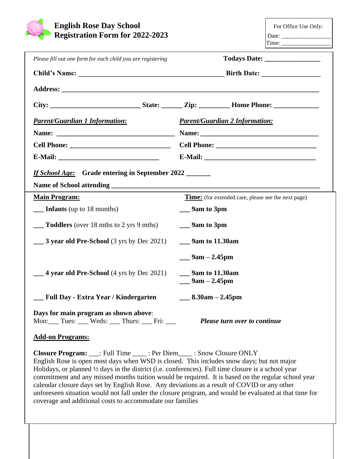| <b>English Rose Day School</b><br><b>Registration Form for 2022-2023</b> | For Office Use Only:                                       |  |  |
|--------------------------------------------------------------------------|------------------------------------------------------------|--|--|
| Please fill out one form for each child you are registering              |                                                            |  |  |
|                                                                          |                                                            |  |  |
|                                                                          |                                                            |  |  |
|                                                                          |                                                            |  |  |
| <b>Parent/Guardian 1 Information:</b>                                    | <b>Parent/Guardian 2 Information:</b>                      |  |  |
|                                                                          |                                                            |  |  |
|                                                                          |                                                            |  |  |
|                                                                          |                                                            |  |  |
| If School Age: Grade entering in September 2022                          |                                                            |  |  |
| <b>Main Program:</b>                                                     | <b>Time:</b> (for extended care, please see the next page) |  |  |
| <b>Infants</b> (up to 18 months)                                         | $\equiv$ 9am to 3pm                                        |  |  |
| <b>Toddlers</b> (over 18 mths to 2 yrs 9 mths)                           | $\frac{9}{2}$ 9 m to 3pm                                   |  |  |
| $\frac{1}{2}$ <b>3 year old Pre-School</b> (3 yrs by Dec 2021)           |                                                            |  |  |
|                                                                          | __ 9am $-$ 2.45pm                                          |  |  |
| 4 year old Pre-School (4 yrs by Dec 2021)                                | 9am to 11.30am<br>$-9$ am – 2.45pm                         |  |  |
| __ Full Day - Extra Year / Kindergarten                                  | $\frac{8.30am - 2.45pm}{m}$                                |  |  |
| Days for main program as shown above:<br>Mon: Tues: Weds: Thurs:  Fri:   | Please turn over to continue                               |  |  |

## **Add-on Programs:**

**Closure Program:** \_\_\_: Full Time \_\_\_\_ : Per Diem\_\_\_\_ : Snow Closure ONLY English Rose is open most days when WSD is closed. This includes snow days; but not major Holidays, or planned ½ days in the district (i.e. conferences). Full time closure is a school year commitment and any missed months tuition would be required. It is based on the regular school year calendar closure days set by English Rose. Any deviations as a result of COVID or any other unforeseen situation would not fall under the closure program, and would be evaluated at that time for coverage and additional costs to accommodate our families